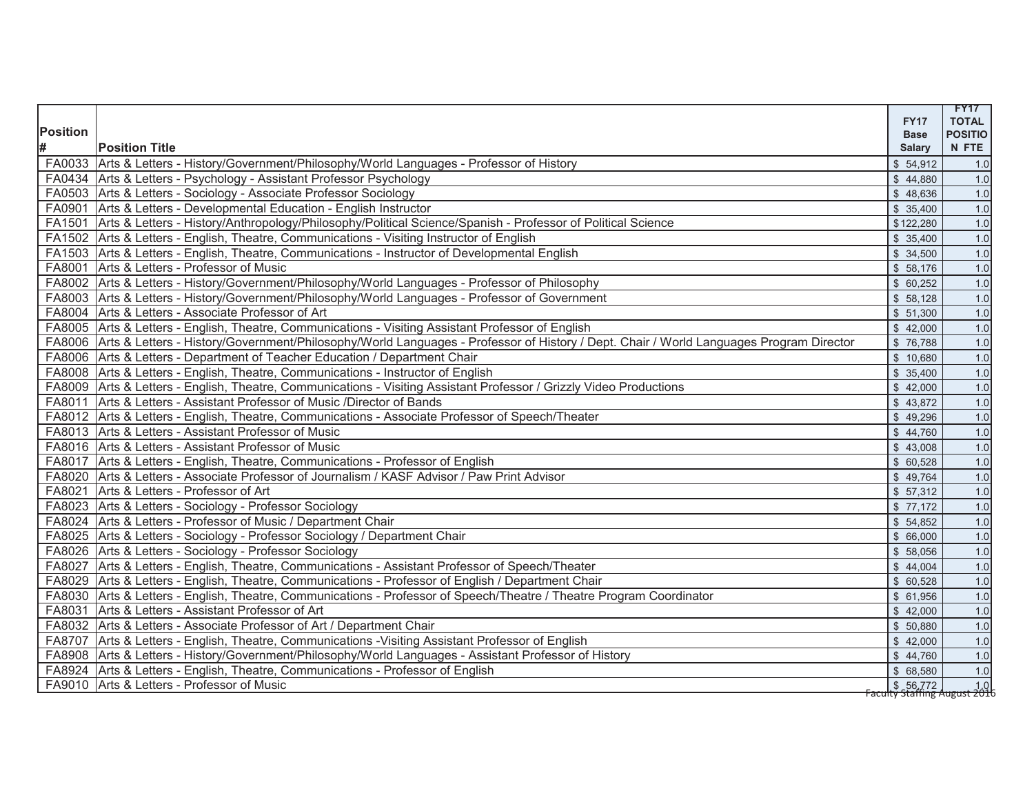|          |                                                                                                                                               | <b>FY17</b>                                                                                                                 | <b>FY17</b><br><b>TOTAL</b> |
|----------|-----------------------------------------------------------------------------------------------------------------------------------------------|-----------------------------------------------------------------------------------------------------------------------------|-----------------------------|
| Position |                                                                                                                                               | <b>Base</b>                                                                                                                 | <b>POSITIO</b>              |
| #        | <b>Position Title</b>                                                                                                                         | <b>Salary</b>                                                                                                               | N FTE                       |
|          | FA0033 Arts & Letters - History/Government/Philosophy/World Languages - Professor of History                                                  | \$54,912                                                                                                                    | 1.0                         |
|          | FA0434 Arts & Letters - Psychology - Assistant Professor Psychology                                                                           | \$44,880                                                                                                                    | 1.0                         |
|          | FA0503 Arts & Letters - Sociology - Associate Professor Sociology                                                                             | \$48,636                                                                                                                    | 1.0                         |
|          | FA0901 Arts & Letters - Developmental Education - English Instructor                                                                          | \$35,400                                                                                                                    | 1.0                         |
|          | FA1501 Arts & Letters - History/Anthropology/Philosophy/Political Science/Spanish - Professor of Political Science                            | \$122,280                                                                                                                   | $1.0$                       |
|          | FA1502 Arts & Letters - English, Theatre, Communications - Visiting Instructor of English                                                     | \$35,400                                                                                                                    | $1.0$                       |
|          | FA1503 Arts & Letters - English, Theatre, Communications - Instructor of Developmental English                                                | \$34,500                                                                                                                    | $1.0$                       |
|          | FA8001 Arts & Letters - Professor of Music                                                                                                    | \$58,176                                                                                                                    | 1.0                         |
|          | FA8002 Arts & Letters - History/Government/Philosophy/World Languages - Professor of Philosophy                                               | \$60,252                                                                                                                    | 1.0                         |
|          | FA8003 Arts & Letters - History/Government/Philosophy/World Languages - Professor of Government                                               | \$58,128                                                                                                                    | $1.0$                       |
|          | FA8004 Arts & Letters - Associate Professor of Art                                                                                            | \$51,300                                                                                                                    | 1.0                         |
|          | FA8005 Arts & Letters - English, Theatre, Communications - Visiting Assistant Professor of English                                            | \$42,000                                                                                                                    | 1.0                         |
|          | FA8006 Arts & Letters - History/Government/Philosophy/World Languages - Professor of History / Dept. Chair / World Languages Program Director | \$76,788                                                                                                                    | 1.0                         |
|          | FA8006   Arts & Letters - Department of Teacher Education / Department Chair                                                                  | \$10,680                                                                                                                    | $1.0$                       |
|          | FA8008 Arts & Letters - English, Theatre, Communications - Instructor of English                                                              | \$35,400                                                                                                                    | $1.0$                       |
|          | FA8009 Arts & Letters - English, Theatre, Communications - Visiting Assistant Professor / Grizzly Video Productions                           | \$42,000                                                                                                                    | $1.0$                       |
| FA8011   | Arts & Letters - Assistant Professor of Music /Director of Bands                                                                              | \$43,872                                                                                                                    | 1.0                         |
|          | FA8012 Arts & Letters - English, Theatre, Communications - Associate Professor of Speech/Theater                                              | \$49,296                                                                                                                    | $1.0$                       |
|          | FA8013 Arts & Letters - Assistant Professor of Music                                                                                          | \$44,760                                                                                                                    | $1.0$                       |
|          | FA8016 Arts & Letters - Assistant Professor of Music                                                                                          | \$43,008                                                                                                                    | $1.0$                       |
|          | FA8017 Arts & Letters - English, Theatre, Communications - Professor of English                                                               | \$60,528                                                                                                                    | 1.0                         |
|          | FA8020   Arts & Letters - Associate Professor of Journalism / KASF Advisor / Paw Print Advisor                                                | \$49,764                                                                                                                    | $1.0$                       |
|          | FA8021 Arts & Letters - Professor of Art                                                                                                      | \$57,312                                                                                                                    | $1.0$                       |
|          | FA8023 Arts & Letters - Sociology - Professor Sociology                                                                                       | \$77,172                                                                                                                    | 1.0                         |
|          | FA8024 Arts & Letters - Professor of Music / Department Chair                                                                                 | \$54,852                                                                                                                    | $1.0$                       |
|          | FA8025 Arts & Letters - Sociology - Professor Sociology / Department Chair                                                                    | \$66,000                                                                                                                    | 1.0                         |
|          | FA8026 Arts & Letters - Sociology - Professor Sociology                                                                                       | \$58,056                                                                                                                    | 1.0                         |
| FA8027   | Arts & Letters - English, Theatre, Communications - Assistant Professor of Speech/Theater                                                     | \$44,004                                                                                                                    | 1.0                         |
| FA8029   | Arts & Letters - English, Theatre, Communications - Professor of English / Department Chair                                                   | \$60,528                                                                                                                    | $1.0$                       |
|          | FA8030 Arts & Letters - English, Theatre, Communications - Professor of Speech/Theatre / Theatre Program Coordinator                          | \$ 61,956                                                                                                                   | 1.0                         |
|          | FA8031 Arts & Letters - Assistant Professor of Art                                                                                            | \$42,000                                                                                                                    | 1.0                         |
|          | FA8032 Arts & Letters - Associate Professor of Art / Department Chair                                                                         | \$ 50,880                                                                                                                   | 1.0                         |
| FA8707   | Arts & Letters - English, Theatre, Communications - Visiting Assistant Professor of English                                                   | \$42,000                                                                                                                    | $1.0$                       |
| FA8908   | Arts & Letters - History/Government/Philosophy/World Languages - Assistant Professor of History                                               | \$44,760                                                                                                                    | 1.0                         |
|          | FA8924 Arts & Letters - English, Theatre, Communications - Professor of English                                                               | \$ 68,580                                                                                                                   | 1.0                         |
|          | FA9010 Arts & Letters - Professor of Music                                                                                                    | $\begin{array}{ c c c c c }\n\hline\n\text{S} & 56,772 & 1.0 \\ \text{Factently Staffing August 2016}\n\hline\n\end{array}$ |                             |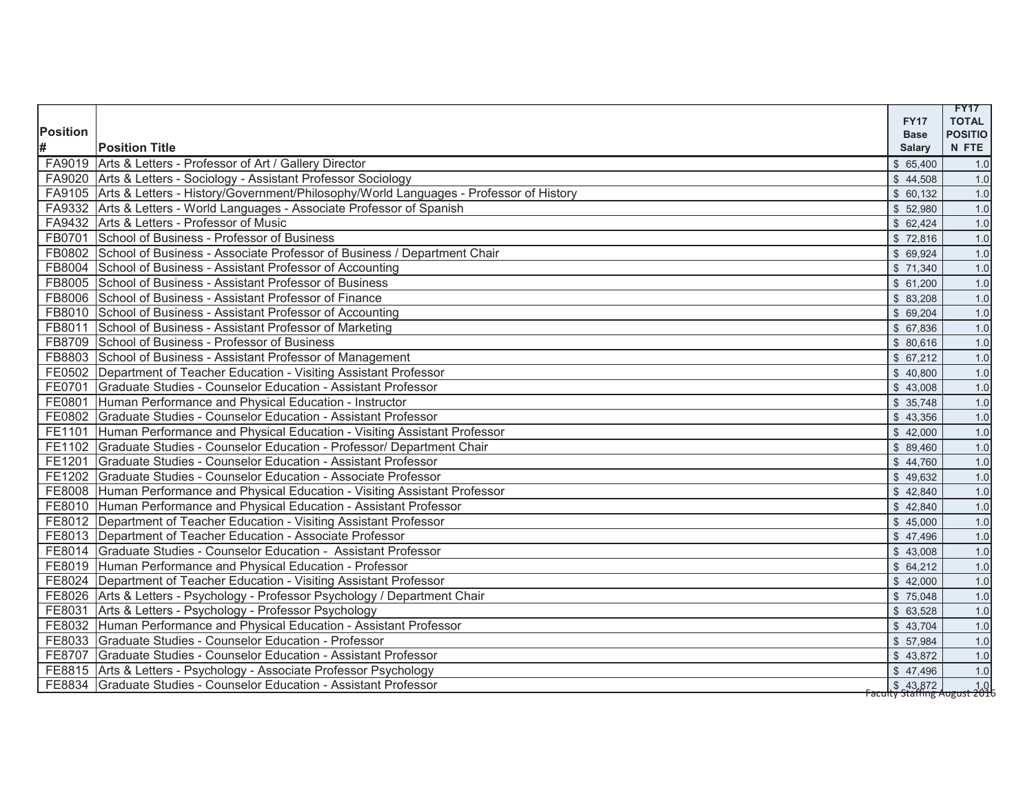|                 |                                                                                              |                            | <b>FY17</b>                                            |
|-----------------|----------------------------------------------------------------------------------------------|----------------------------|--------------------------------------------------------|
| <b>Position</b> |                                                                                              | <b>FY17</b><br><b>Base</b> | <b>TOTAL</b><br><b>POSITIO</b>                         |
| #               | <b>Position Title</b>                                                                        | <b>Salary</b>              | N FTE                                                  |
|                 | FA9019 Arts & Letters - Professor of Art / Gallery Director                                  | \$65,400                   | 1.0                                                    |
|                 | FA9020 Arts & Letters - Sociology - Assistant Professor Sociology                            | \$44,508                   | 1.0                                                    |
|                 | FA9105 Arts & Letters - History/Government/Philosophy/World Languages - Professor of History | \$60,132                   | 1.0                                                    |
|                 | FA9332 Arts & Letters - World Languages - Associate Professor of Spanish                     | \$52,980                   | 1.0                                                    |
|                 | FA9432 Arts & Letters - Professor of Music                                                   | \$62,424                   | 1.0                                                    |
|                 | FB0701 School of Business - Professor of Business                                            | \$72,816                   | 1.0                                                    |
|                 | FB0802 School of Business - Associate Professor of Business / Department Chair               | $\sqrt{$}69,924$           | 1.0                                                    |
|                 | FB8004 School of Business - Assistant Professor of Accounting                                | \$71,340                   | 1.0                                                    |
|                 | FB8005 School of Business - Assistant Professor of Business                                  | \$61,200                   | 1.0                                                    |
|                 | FB8006 School of Business - Assistant Professor of Finance                                   | \$83,208                   | 1.0                                                    |
|                 | FB8010 School of Business - Assistant Professor of Accounting                                | \$69,204                   | 1.0                                                    |
|                 | FB8011 School of Business - Assistant Professor of Marketing                                 | \$67,836                   | 1.0                                                    |
|                 | FB8709 School of Business - Professor of Business                                            | \$80,616                   | 1.0                                                    |
|                 | FB8803 School of Business - Assistant Professor of Management                                | \$67,212                   | $1.0$                                                  |
|                 | FE0502 Department of Teacher Education - Visiting Assistant Professor                        | \$40,800                   | 1.0                                                    |
|                 | FE0701 Graduate Studies - Counselor Education - Assistant Professor                          | \$43,008                   | 1.0                                                    |
|                 | FE0801 Human Performance and Physical Education - Instructor                                 | \$35,748                   | 1.0                                                    |
|                 | FE0802 Graduate Studies - Counselor Education - Assistant Professor                          | \$43,356                   | 1.0                                                    |
|                 | FE1101 Human Performance and Physical Education - Visiting Assistant Professor               | \$42,000                   | 1.0                                                    |
|                 | FE1102 Graduate Studies - Counselor Education - Professor/ Department Chair                  | \$89,460                   | 1.0                                                    |
|                 | FE1201 Graduate Studies - Counselor Education - Assistant Professor                          | \$44,760                   | 1.0                                                    |
|                 | FE1202 Graduate Studies - Counselor Education - Associate Professor                          | \$49,632                   | 1.0                                                    |
|                 | FE8008 Human Performance and Physical Education - Visiting Assistant Professor               | \$42,840                   | 1.0                                                    |
|                 | FE8010 Human Performance and Physical Education - Assistant Professor                        | \$42,840                   | 1.0                                                    |
|                 | FE8012 Department of Teacher Education - Visiting Assistant Professor                        | \$45,000                   | 1.0                                                    |
|                 | FE8013   Department of Teacher Education - Associate Professor                               | \$47,496                   | 1.0                                                    |
|                 | FE8014 Graduate Studies - Counselor Education - Assistant Professor                          | \$43,008                   | 1.0                                                    |
|                 | FE8019 Human Performance and Physical Education - Professor                                  | \$64,212                   | 1.0                                                    |
|                 | FE8024 Department of Teacher Education - Visiting Assistant Professor                        | \$42,000                   | $1.0$                                                  |
|                 | FE8026 Arts & Letters - Psychology - Professor Psychology / Department Chair                 | \$75,048                   | 1.0                                                    |
|                 | FE8031 Arts & Letters - Psychology - Professor Psychology                                    | \$63,528                   | 1.0                                                    |
|                 | FE8032 Human Performance and Physical Education - Assistant Professor                        | \$43,704                   | 1.0                                                    |
|                 | FE8033 Graduate Studies - Counselor Education - Professor                                    | \$57,984                   | 1.0                                                    |
|                 | FE8707 Graduate Studies - Counselor Education - Assistant Professor                          | \$43,872                   | 1.0                                                    |
|                 | FE8815 Arts & Letters - Psychology - Associate Professor Psychology                          | \$47,496                   | 1.0                                                    |
|                 | FE8834 Graduate Studies - Counselor Education - Assistant Professor                          |                            | <b>5</b> 43,872<br><b>Faculty Staffing August 2016</b> |